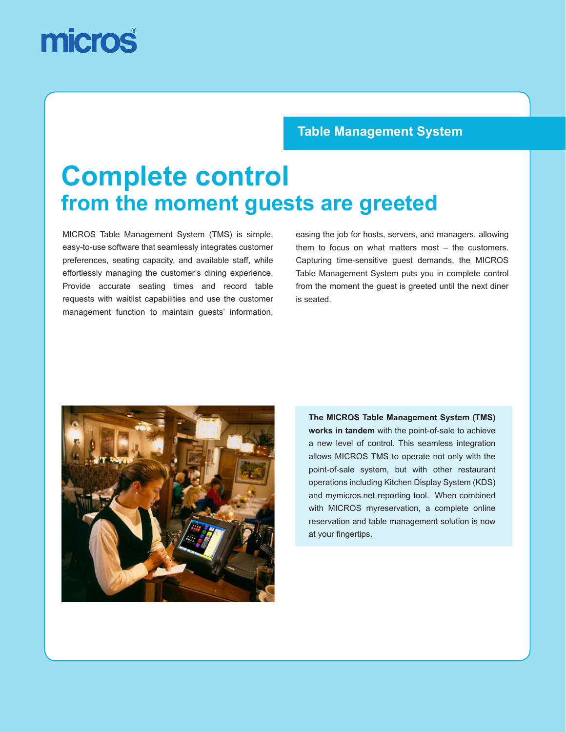# micros

### **Table Management System**

## **Complete control from the moment guests are greeted**

MICROS Table Management System (TMS) is simple, easy-to-use software that seamlessly integrates customer preferences, seating capacity, and available staff, while effortlessly managing the customer's dining experience. Provide accurate seating times and record table requests with waitlist capabilities and use the customer management function to maintain guests' information, easing the job for hosts, servers, and managers, allowing them to focus on what matters most – the customers. Capturing time-sensitive guest demands, the MICROS Table Management System puts you in complete control from the moment the guest is greeted until the next diner is seated.



**The MICROS Table Management System (TMS) works in tandem** with the point-of-sale to achieve a new level of control. This seamless integration allows MICROS TMS to operate not only with the point-of-sale system, but with other restaurant operations including Kitchen Display System (KDS) and mymicros.net reporting tool. When combined with MICROS myreservation, a complete online reservation and table management solution is now at your fingertips.